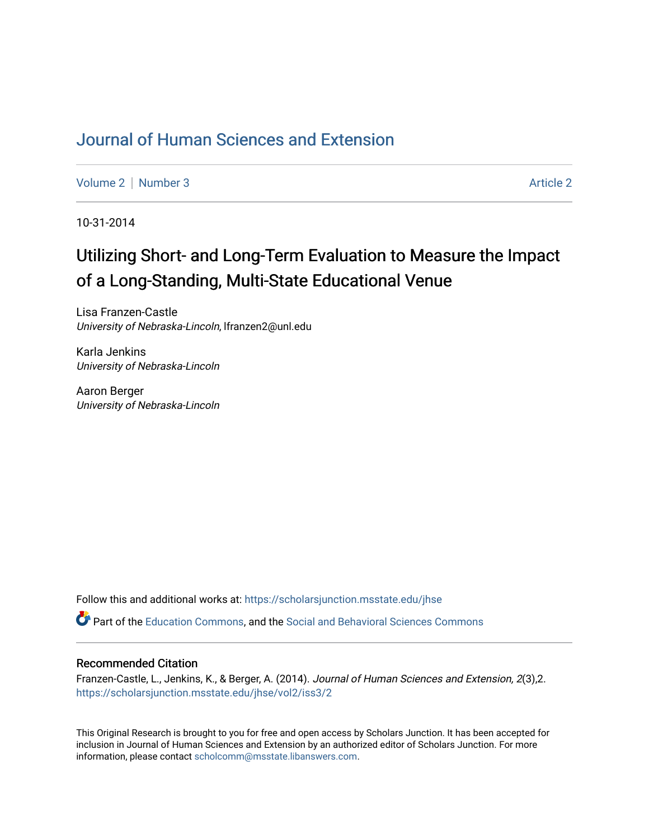## [Journal of Human Sciences and Extension](https://scholarsjunction.msstate.edu/jhse)

[Volume 2](https://scholarsjunction.msstate.edu/jhse/vol2) | [Number 3](https://scholarsjunction.msstate.edu/jhse/vol2/iss3) Article 2

10-31-2014

# Utilizing Short- and Long-Term Evaluation to Measure the Impact of a Long-Standing, Multi-State Educational Venue

Lisa Franzen-Castle University of Nebraska-Lincoln, lfranzen2@unl.edu

Karla Jenkins University of Nebraska-Lincoln

Aaron Berger University of Nebraska-Lincoln

Follow this and additional works at: [https://scholarsjunction.msstate.edu/jhse](https://scholarsjunction.msstate.edu/jhse?utm_source=scholarsjunction.msstate.edu%2Fjhse%2Fvol2%2Fiss3%2F2&utm_medium=PDF&utm_campaign=PDFCoverPages)

Part of the [Education Commons](http://network.bepress.com/hgg/discipline/784?utm_source=scholarsjunction.msstate.edu%2Fjhse%2Fvol2%2Fiss3%2F2&utm_medium=PDF&utm_campaign=PDFCoverPages), and the [Social and Behavioral Sciences Commons](http://network.bepress.com/hgg/discipline/316?utm_source=scholarsjunction.msstate.edu%2Fjhse%2Fvol2%2Fiss3%2F2&utm_medium=PDF&utm_campaign=PDFCoverPages) 

#### Recommended Citation

Franzen-Castle, L., Jenkins, K., & Berger, A. (2014). Journal of Human Sciences and Extension, 2(3),2. [https://scholarsjunction.msstate.edu/jhse/vol2/iss3/2](https://scholarsjunction.msstate.edu/jhse/vol2/iss3/2?utm_source=scholarsjunction.msstate.edu%2Fjhse%2Fvol2%2Fiss3%2F2&utm_medium=PDF&utm_campaign=PDFCoverPages)

This Original Research is brought to you for free and open access by Scholars Junction. It has been accepted for inclusion in Journal of Human Sciences and Extension by an authorized editor of Scholars Junction. For more information, please contact [scholcomm@msstate.libanswers.com](mailto:scholcomm@msstate.libanswers.com).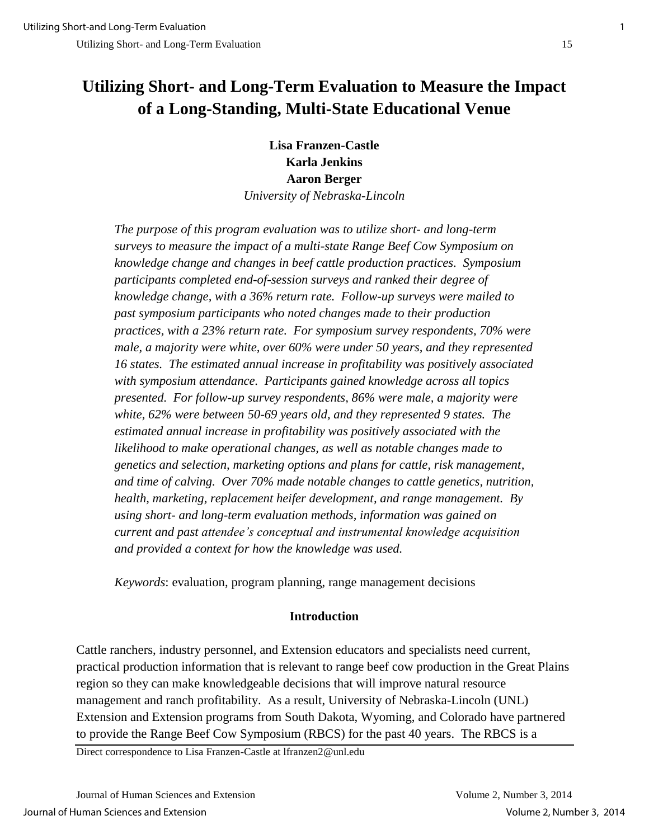## **Utilizing Short- and Long-Term Evaluation to Measure the Impact of a Long-Standing, Multi-State Educational Venue**

**Lisa Franzen-Castle Karla Jenkins Aaron Berger**  *University of Nebraska-Lincoln* 

*The purpose of this program evaluation was to utilize short- and long-term surveys to measure the impact of a multi-state Range Beef Cow Symposium on knowledge change and changes in beef cattle production practices. Symposium participants completed end-of-session surveys and ranked their degree of knowledge change, with a 36% return rate. Follow-up surveys were mailed to past symposium participants who noted changes made to their production practices, with a 23% return rate. For symposium survey respondents, 70% were male, a majority were white, over 60% were under 50 years, and they represented 16 states. The estimated annual increase in profitability was positively associated with symposium attendance. Participants gained knowledge across all topics presented. For follow-up survey respondents, 86% were male, a majority were white, 62% were between 50-69 years old, and they represented 9 states. The estimated annual increase in profitability was positively associated with the likelihood to make operational changes, as well as notable changes made to genetics and selection, marketing options and plans for cattle, risk management, and time of calving. Over 70% made notable changes to cattle genetics, nutrition, health, marketing, replacement heifer development, and range management. By using short- and long-term evaluation methods, information was gained on current and past attendee's conceptual and instrumental knowledge acquisition and provided a context for how the knowledge was used.* 

*Keywords*: evaluation, program planning, range management decisions

## **Introduction**

Cattle ranchers, industry personnel, and Extension educators and specialists need current, practical production information that is relevant to range beef cow production in the Great Plains region so they can make knowledgeable decisions that will improve natural resource management and ranch profitability. As a result, University of Nebraska-Lincoln (UNL) Extension and Extension programs from South Dakota, Wyoming, and Colorado have partnered to provide the Range Beef Cow Symposium (RBCS) for the past 40 years. The RBCS is a

Direct correspondence to Lisa Franzen-Castle at lfranzen2@unl.edu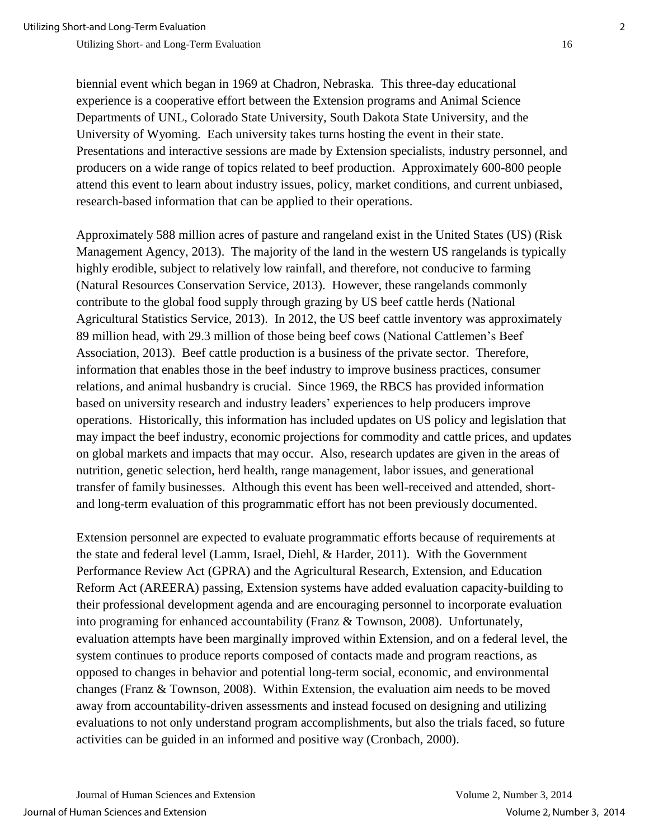biennial event which began in 1969 at Chadron, Nebraska. This three-day educational experience is a cooperative effort between the Extension programs and Animal Science Departments of UNL, Colorado State University, South Dakota State University, and the University of Wyoming. Each university takes turns hosting the event in their state. Presentations and interactive sessions are made by Extension specialists, industry personnel, and producers on a wide range of topics related to beef production. Approximately 600-800 people attend this event to learn about industry issues, policy, market conditions, and current unbiased, research-based information that can be applied to their operations.

Approximately 588 million acres of pasture and rangeland exist in the United States (US) (Risk Management Agency, 2013). The majority of the land in the western US rangelands is typically highly erodible, subject to relatively low rainfall, and therefore, not conducive to farming (Natural Resources Conservation Service, 2013). However, these rangelands commonly contribute to the global food supply through grazing by US beef cattle herds (National Agricultural Statistics Service, 2013). In 2012, the US beef cattle inventory was approximately 89 million head, with 29.3 million of those being beef cows (National Cattlemen's Beef Association, 2013). Beef cattle production is a business of the private sector. Therefore, information that enables those in the beef industry to improve business practices, consumer relations, and animal husbandry is crucial. Since 1969, the RBCS has provided information based on university research and industry leaders' experiences to help producers improve operations. Historically, this information has included updates on US policy and legislation that may impact the beef industry, economic projections for commodity and cattle prices, and updates on global markets and impacts that may occur. Also, research updates are given in the areas of nutrition, genetic selection, herd health, range management, labor issues, and generational transfer of family businesses. Although this event has been well-received and attended, shortand long-term evaluation of this programmatic effort has not been previously documented.

Extension personnel are expected to evaluate programmatic efforts because of requirements at the state and federal level (Lamm, Israel, Diehl, & Harder, 2011). With the Government Performance Review Act (GPRA) and the Agricultural Research, Extension, and Education Reform Act (AREERA) passing, Extension systems have added evaluation capacity-building to their professional development agenda and are encouraging personnel to incorporate evaluation into programing for enhanced accountability (Franz & Townson, 2008).Unfortunately, evaluation attempts have been marginally improved within Extension, and on a federal level, the system continues to produce reports composed of contacts made and program reactions, as opposed to changes in behavior and potential long-term social, economic, and environmental changes (Franz & Townson, 2008). Within Extension, the evaluation aim needs to be moved away from accountability-driven assessments and instead focused on designing and utilizing evaluations to not only understand program accomplishments, but also the trials faced, so future activities can be guided in an informed and positive way (Cronbach, 2000).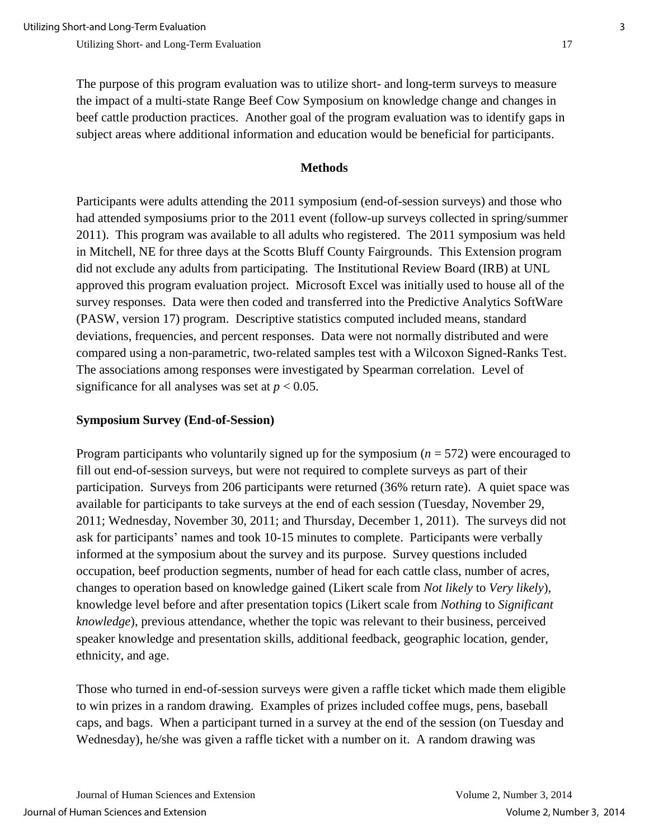The purpose of this program evaluation was to utilize short- and long-term surveys to measure the impact of a multi-state Range Beef Cow Symposium on knowledge change and changes in beef cattle production practices. Another goal of the program evaluation was to identify gaps in subject areas where additional information and education would be beneficial for participants.

#### **Methods**

Participants were adults attending the 2011 symposium (end-of-session surveys) and those who had attended symposiums prior to the 2011 event (follow-up surveys collected in spring/summer 2011).This program was available to all adults who registered. The 2011 symposium was held in Mitchell, NE for three days at the Scotts Bluff County Fairgrounds. This Extension program did not exclude any adults from participating. The Institutional Review Board (IRB) at UNL approved this program evaluation project. Microsoft Excel was initially used to house all of the survey responses. Data were then coded and transferred into the Predictive Analytics SoftWare (PASW, version 17) program. Descriptive statistics computed included means, standard deviations, frequencies, and percent responses. Data were not normally distributed and were compared using a non-parametric, two-related samples test with a Wilcoxon Signed-Ranks Test. The associations among responses were investigated by Spearman correlation. Level of significance for all analyses was set at  $p < 0.05$ .

## **Symposium Survey (End-of-Session)**

Program participants who voluntarily signed up for the symposium (*n* = 572) were encouraged to fill out end-of-session surveys, but were not required to complete surveys as part of their participation. Surveys from 206 participants were returned (36% return rate).A quiet space was available for participants to take surveys at the end of each session (Tuesday, November 29, 2011; Wednesday, November 30, 2011; and Thursday, December 1, 2011). The surveys did not ask for participants' names and took 10-15 minutes to complete. Participants were verbally informed at the symposium about the survey and its purpose. Survey questions included occupation, beef production segments, number of head for each cattle class, number of acres, changes to operation based on knowledge gained (Likert scale from *Not likely* to *Very likely*), knowledge level before and after presentation topics (Likert scale from *Nothing* to *Significant knowledge*), previous attendance, whether the topic was relevant to their business, perceived speaker knowledge and presentation skills, additional feedback, geographic location, gender, ethnicity, and age.

Those who turned in end-of-session surveys were given a raffle ticket which made them eligible to win prizes in a random drawing. Examples of prizes included coffee mugs, pens, baseball caps, and bags. When a participant turned in a survey at the end of the session (on Tuesday and Wednesday), he/she was given a raffle ticket with a number on it. A random drawing was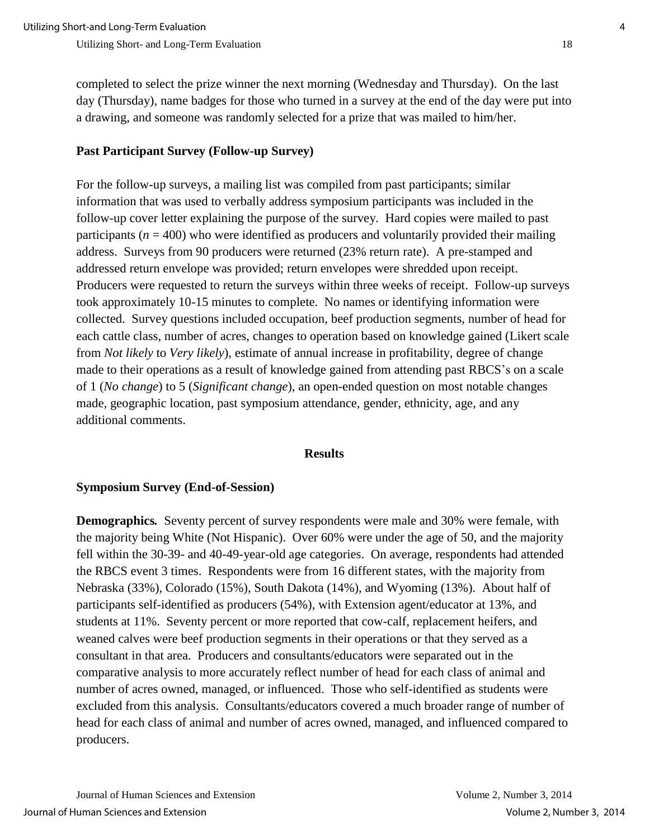completed to select the prize winner the next morning (Wednesday and Thursday). On the last day (Thursday), name badges for those who turned in a survey at the end of the day were put into a drawing, and someone was randomly selected for a prize that was mailed to him/her.

## **Past Participant Survey (Follow-up Survey)**

For the follow-up surveys, a mailing list was compiled from past participants; similar information that was used to verbally address symposium participants was included in the follow-up cover letter explaining the purpose of the survey. Hard copies were mailed to past participants ( $n = 400$ ) who were identified as producers and voluntarily provided their mailing address. Surveys from 90 producers were returned (23% return rate). A pre-stamped and addressed return envelope was provided; return envelopes were shredded upon receipt. Producers were requested to return the surveys within three weeks of receipt. Follow-up surveys took approximately 10-15 minutes to complete. No names or identifying information were collected. Survey questions included occupation, beef production segments, number of head for each cattle class, number of acres, changes to operation based on knowledge gained (Likert scale from *Not likely* to *Very likely*), estimate of annual increase in profitability, degree of change made to their operations as a result of knowledge gained from attending past RBCS's on a scale of 1 (*No change*) to 5 (*Significant change*), an open-ended question on most notable changes made, geographic location, past symposium attendance, gender, ethnicity, age, and any additional comments.

#### **Results**

#### **Symposium Survey (End-of-Session)**

**Demographics***.* Seventy percent of survey respondents were male and 30% were female, with the majority being White (Not Hispanic). Over 60% were under the age of 50, and the majority fell within the 30-39- and 40-49-year-old age categories. On average, respondents had attended the RBCS event 3 times. Respondents were from 16 different states, with the majority from Nebraska (33%), Colorado (15%), South Dakota (14%), and Wyoming (13%). About half of participants self-identified as producers (54%), with Extension agent/educator at 13%, and students at 11%. Seventy percent or more reported that cow-calf, replacement heifers, and weaned calves were beef production segments in their operations or that they served as a consultant in that area. Producers and consultants/educators were separated out in the comparative analysis to more accurately reflect number of head for each class of animal and number of acres owned, managed, or influenced. Those who self-identified as students were excluded from this analysis. Consultants/educators covered a much broader range of number of head for each class of animal and number of acres owned, managed, and influenced compared to producers.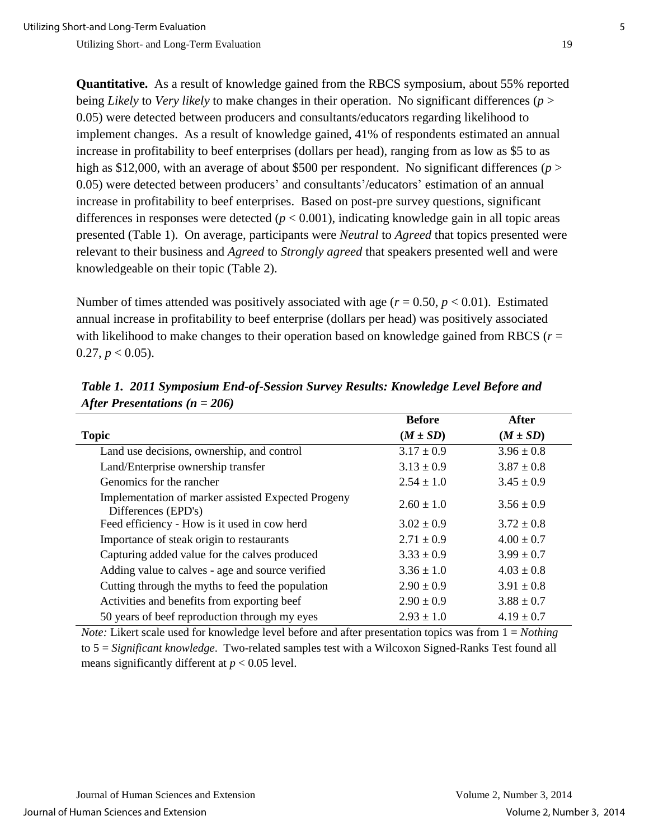**Quantitative.** As a result of knowledge gained from the RBCS symposium, about 55% reported being *Likely* to *Very likely* to make changes in their operation. No significant differences (*p* > 0.05) were detected between producers and consultants/educators regarding likelihood to implement changes. As a result of knowledge gained, 41% of respondents estimated an annual increase in profitability to beef enterprises (dollars per head), ranging from as low as \$5 to as high as \$12,000, with an average of about \$500 per respondent. No significant differences (*p* > 0.05) were detected between producers' and consultants'/educators' estimation of an annual increase in profitability to beef enterprises. Based on post-pre survey questions, significant differences in responses were detected  $(p < 0.001)$ , indicating knowledge gain in all topic areas presented (Table 1).On average, participants were *Neutral* to *Agreed* that topics presented were relevant to their business and *Agreed* to *Strongly agreed* that speakers presented well and were knowledgeable on their topic (Table 2).

Number of times attended was positively associated with age ( $r = 0.50$ ,  $p < 0.01$ ). Estimated annual increase in profitability to beef enterprise (dollars per head) was positively associated with likelihood to make changes to their operation based on knowledge gained from RBCS ( $r =$  $0.27, p < 0.05$ ).

|                                                                           | <b>Before</b>  | After          |
|---------------------------------------------------------------------------|----------------|----------------|
| <b>Topic</b>                                                              | $(M \pm SD)$   | $(M \pm SD)$   |
| Land use decisions, ownership, and control                                | $3.17 \pm 0.9$ | $3.96 \pm 0.8$ |
| Land/Enterprise ownership transfer                                        | $3.13 \pm 0.9$ | $3.87 \pm 0.8$ |
| Genomics for the rancher                                                  | $2.54 \pm 1.0$ | $3.45 \pm 0.9$ |
| Implementation of marker assisted Expected Progeny<br>Differences (EPD's) | $2.60 \pm 1.0$ | $3.56 \pm 0.9$ |
| Feed efficiency - How is it used in cow herd                              | $3.02 \pm 0.9$ | $3.72 \pm 0.8$ |
| Importance of steak origin to restaurants                                 | $2.71 \pm 0.9$ | $4.00 \pm 0.7$ |
| Capturing added value for the calves produced                             | $3.33 \pm 0.9$ | $3.99 \pm 0.7$ |
| Adding value to calves - age and source verified                          | $3.36 \pm 1.0$ | $4.03 \pm 0.8$ |
| Cutting through the myths to feed the population                          | $2.90 \pm 0.9$ | $3.91 \pm 0.8$ |
| Activities and benefits from exporting beef                               | $2.90 \pm 0.9$ | $3.88 \pm 0.7$ |
| 50 years of beef reproduction through my eyes                             | $2.93 \pm 1.0$ | $4.19 \pm 0.7$ |

*Table 1. 2011 Symposium End-of-Session Survey Results: Knowledge Level Before and After Presentations (n = 206)*

*Note:* Likert scale used for knowledge level before and after presentation topics was from  $1 = Nothing$ to 5 = *Significant knowledge*. Two-related samples test with a Wilcoxon Signed-Ranks Test found all means significantly different at  $p < 0.05$  level.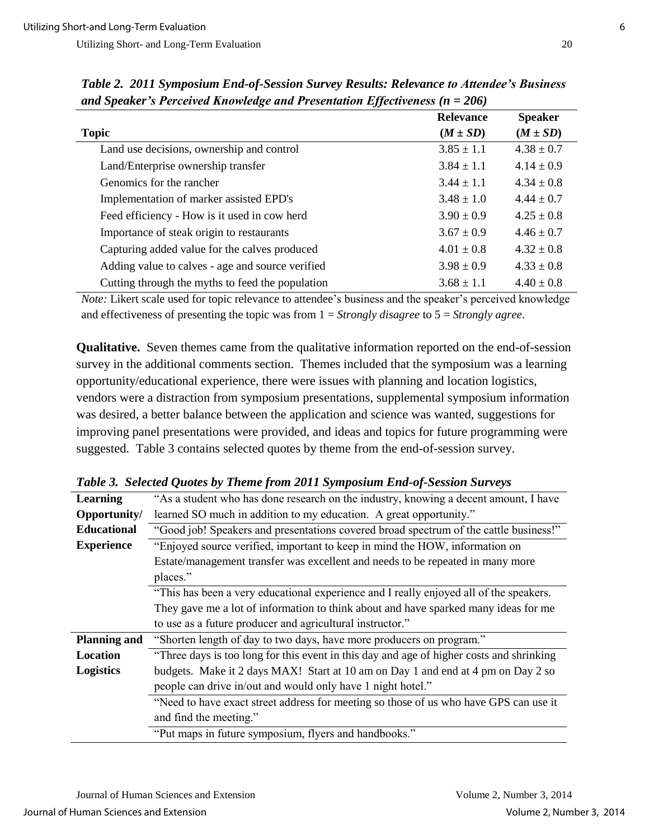| and Speaker 3 Fertelled Knowledge and Fresentation Effectiveness ( $\mu$ – 2007) |                  |                |  |
|----------------------------------------------------------------------------------|------------------|----------------|--|
|                                                                                  | <b>Relevance</b> | <b>Speaker</b> |  |
| <b>Topic</b>                                                                     | $(M \pm SD)$     | $(M \pm SD)$   |  |
| Land use decisions, ownership and control                                        | $3.85 \pm 1.1$   | $4.38 \pm 0.7$ |  |
| Land/Enterprise ownership transfer                                               | $3.84 \pm 1.1$   | $4.14 \pm 0.9$ |  |
| Genomics for the rancher                                                         | $3.44 \pm 1.1$   | $4.34 \pm 0.8$ |  |
| Implementation of marker assisted EPD's                                          | $3.48 \pm 1.0$   | $4.44 \pm 0.7$ |  |
| Feed efficiency - How is it used in cow herd                                     | $3.90 \pm 0.9$   | $4.25 \pm 0.8$ |  |
| Importance of steak origin to restaurants                                        | $3.67 \pm 0.9$   | $4.46 \pm 0.7$ |  |
| Capturing added value for the calves produced                                    | $4.01 \pm 0.8$   | $4.32 \pm 0.8$ |  |
| Adding value to calves - age and source verified                                 | $3.98 \pm 0.9$   | $4.33 \pm 0.8$ |  |
| Cutting through the myths to feed the population                                 | $3.68 \pm 1.1$   | $4.40 \pm 0.8$ |  |

*Table 2. 2011 Symposium End-of-Session Survey Results: Relevance to Attendee's Business and Speaker's Perceived Knowledge and Presentation Effectiveness (n = 206)*

*Note:* Likert scale used for topic relevance to attendee's business and the speaker's perceived knowledge and effectiveness of presenting the topic was from 1 = *Strongly disagree* to 5 = *Strongly agree*.

**Qualitative.** Seven themes came from the qualitative information reported on the end-of-session survey in the additional comments section. Themes included that the symposium was a learning opportunity/educational experience, there were issues with planning and location logistics, vendors were a distraction from symposium presentations, supplemental symposium information was desired, a better balance between the application and science was wanted, suggestions for improving panel presentations were provided, and ideas and topics for future programming were suggested. Table 3 contains selected quotes by theme from the end-of-session survey.

| Learning            | "As a student who has done research on the industry, knowing a decent amount, I have     |  |
|---------------------|------------------------------------------------------------------------------------------|--|
| Opportunity/        | learned SO much in addition to my education. A great opportunity."                       |  |
| <b>Educational</b>  | "Good job! Speakers and presentations covered broad spectrum of the cattle business!"    |  |
| <b>Experience</b>   | "Enjoyed source verified, important to keep in mind the HOW, information on              |  |
|                     | Estate/management transfer was excellent and needs to be repeated in many more           |  |
|                     | places."                                                                                 |  |
|                     | "This has been a very educational experience and I really enjoyed all of the speakers.   |  |
|                     | They gave me a lot of information to think about and have sparked many ideas for me      |  |
|                     | to use as a future producer and agricultural instructor."                                |  |
| <b>Planning and</b> | "Shorten length of day to two days, have more producers on program."                     |  |
| Location            | "Three days is too long for this event in this day and age of higher costs and shrinking |  |
| <b>Logistics</b>    | budgets. Make it 2 days MAX! Start at 10 am on Day 1 and end at 4 pm on Day 2 so         |  |
|                     | people can drive in/out and would only have 1 night hotel."                              |  |
|                     | "Need to have exact street address for meeting so those of us who have GPS can use it    |  |
|                     | and find the meeting."                                                                   |  |
|                     | "Put maps in future symposium, flyers and handbooks."                                    |  |

*Table 3. Selected Quotes by Theme from 2011 Symposium End-of-Session Surveys*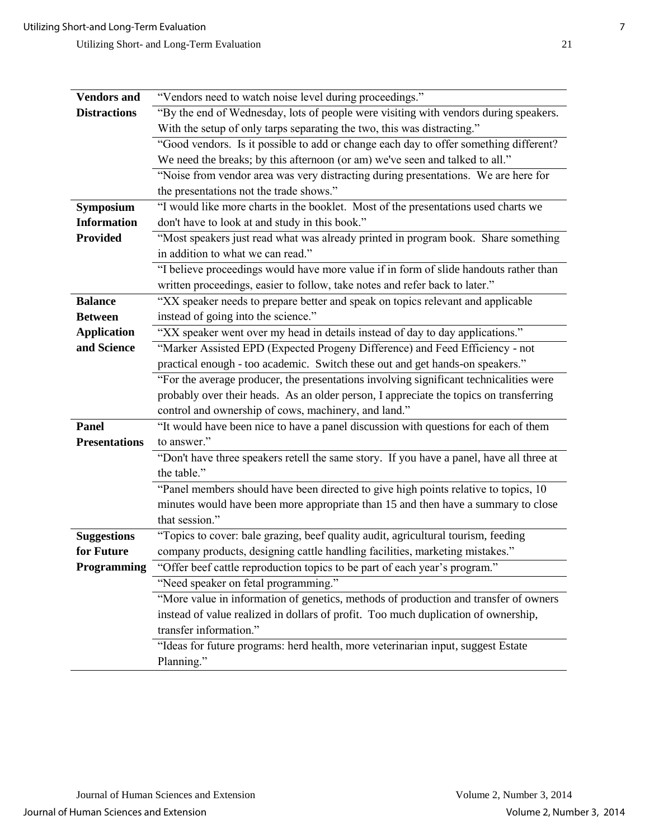| "Vendors need to watch noise level during proceedings."<br><b>Vendors</b> and<br><b>Distractions</b>                                                                  |                                                                                      |  |
|-----------------------------------------------------------------------------------------------------------------------------------------------------------------------|--------------------------------------------------------------------------------------|--|
|                                                                                                                                                                       |                                                                                      |  |
|                                                                                                                                                                       | "By the end of Wednesday, lots of people were visiting with vendors during speakers. |  |
| With the setup of only tarps separating the two, this was distracting."                                                                                               |                                                                                      |  |
| "Good vendors. Is it possible to add or change each day to offer something different?<br>We need the breaks; by this afternoon (or am) we've seen and talked to all." |                                                                                      |  |
| "Noise from vendor area was very distracting during presentations. We are here for                                                                                    |                                                                                      |  |
| the presentations not the trade shows."                                                                                                                               |                                                                                      |  |
| "I would like more charts in the booklet. Most of the presentations used charts we<br><b>Symposium</b>                                                                |                                                                                      |  |
| don't have to look at and study in this book."<br><b>Information</b>                                                                                                  |                                                                                      |  |
| <b>Provided</b><br>in addition to what we can read."                                                                                                                  | "Most speakers just read what was already printed in program book. Share something   |  |
| "I believe proceedings would have more value if in form of slide handouts rather than                                                                                 |                                                                                      |  |
| written proceedings, easier to follow, take notes and refer back to later."                                                                                           |                                                                                      |  |
| "XX speaker needs to prepare better and speak on topics relevant and applicable<br><b>Balance</b>                                                                     |                                                                                      |  |
| instead of going into the science."<br><b>Between</b>                                                                                                                 |                                                                                      |  |
| <b>Application</b>                                                                                                                                                    | "XX speaker went over my head in details instead of day to day applications."        |  |
| and Science<br>"Marker Assisted EPD (Expected Progeny Difference) and Feed Efficiency - not                                                                           |                                                                                      |  |
| practical enough - too academic. Switch these out and get hands-on speakers."                                                                                         |                                                                                      |  |
| "For the average producer, the presentations involving significant technicalities were                                                                                |                                                                                      |  |
| probably over their heads. As an older person, I appreciate the topics on transferring                                                                                |                                                                                      |  |
| control and ownership of cows, machinery, and land."                                                                                                                  |                                                                                      |  |
| "It would have been nice to have a panel discussion with questions for each of them<br><b>Panel</b>                                                                   |                                                                                      |  |
| to answer."<br><b>Presentations</b>                                                                                                                                   |                                                                                      |  |
| "Don't have three speakers retell the same story. If you have a panel, have all three at                                                                              |                                                                                      |  |
| the table."                                                                                                                                                           |                                                                                      |  |
| "Panel members should have been directed to give high points relative to topics, 10                                                                                   |                                                                                      |  |
|                                                                                                                                                                       | minutes would have been more appropriate than 15 and then have a summary to close    |  |
| that session."                                                                                                                                                        |                                                                                      |  |
| "Topics to cover: bale grazing, beef quality audit, agricultural tourism, feeding<br><b>Suggestions</b>                                                               |                                                                                      |  |
| company products, designing cattle handling facilities, marketing mistakes."<br>for Future                                                                            |                                                                                      |  |
| "Offer beef cattle reproduction topics to be part of each year's program."<br>Programming                                                                             |                                                                                      |  |

"Need speaker on fetal programming." "More value in information of genetics, methods of production and transfer of owners instead of value realized in dollars of profit. Too much duplication of ownership, transfer information."

"Ideas for future programs: herd health, more veterinarian input, suggest Estate Planning."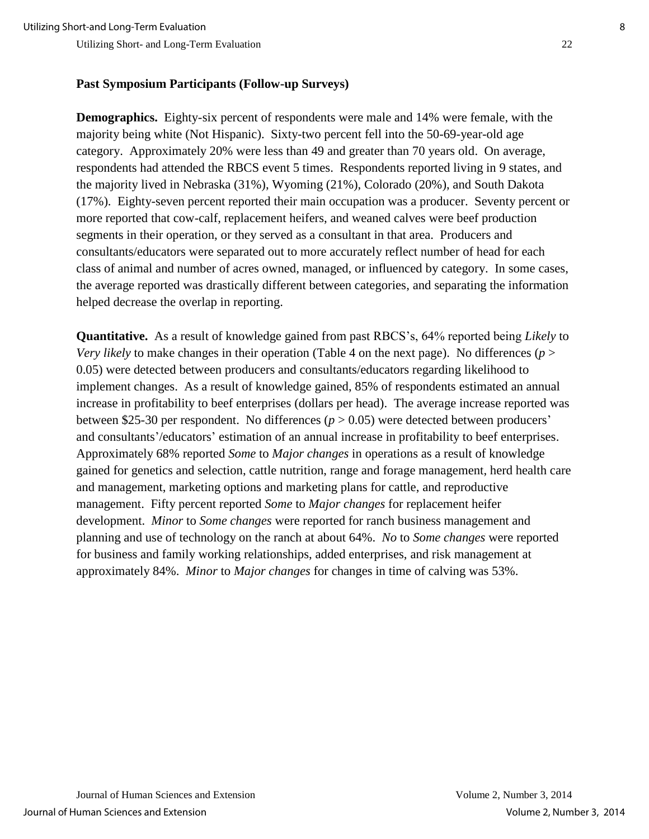#### **Past Symposium Participants (Follow-up Surveys)**

**Demographics.** Eighty-six percent of respondents were male and 14% were female, with the majority being white (Not Hispanic). Sixty-two percent fell into the 50-69-year-old age category. Approximately 20% were less than 49 and greater than 70 years old. On average, respondents had attended the RBCS event 5 times. Respondents reported living in 9 states, and the majority lived in Nebraska (31%), Wyoming (21%), Colorado (20%), and South Dakota (17%). Eighty-seven percent reported their main occupation was a producer. Seventy percent or more reported that cow-calf, replacement heifers, and weaned calves were beef production segments in their operation, or they served as a consultant in that area. Producers and consultants/educators were separated out to more accurately reflect number of head for each class of animal and number of acres owned, managed, or influenced by category. In some cases, the average reported was drastically different between categories, and separating the information helped decrease the overlap in reporting.

**Quantitative.** As a result of knowledge gained from past RBCS's, 64% reported being *Likely* to *Very likely* to make changes in their operation (Table 4 on the next page). No differences (*p* > 0.05) were detected between producers and consultants/educators regarding likelihood to implement changes. As a result of knowledge gained, 85% of respondents estimated an annual increase in profitability to beef enterprises (dollars per head). The average increase reported was between \$25-30 per respondent. No differences (*p* > 0.05) were detected between producers' and consultants'/educators' estimation of an annual increase in profitability to beef enterprises. Approximately 68% reported *Some* to *Major changes* in operations as a result of knowledge gained for genetics and selection, cattle nutrition, range and forage management, herd health care and management, marketing options and marketing plans for cattle, and reproductive management. Fifty percent reported *Some* to *Major changes* for replacement heifer development. *Minor* to *Some changes* were reported for ranch business management and planning and use of technology on the ranch at about 64%. *No* to *Some changes* were reported for business and family working relationships, added enterprises, and risk management at approximately 84%. *Minor* to *Major changes* for changes in time of calving was 53%.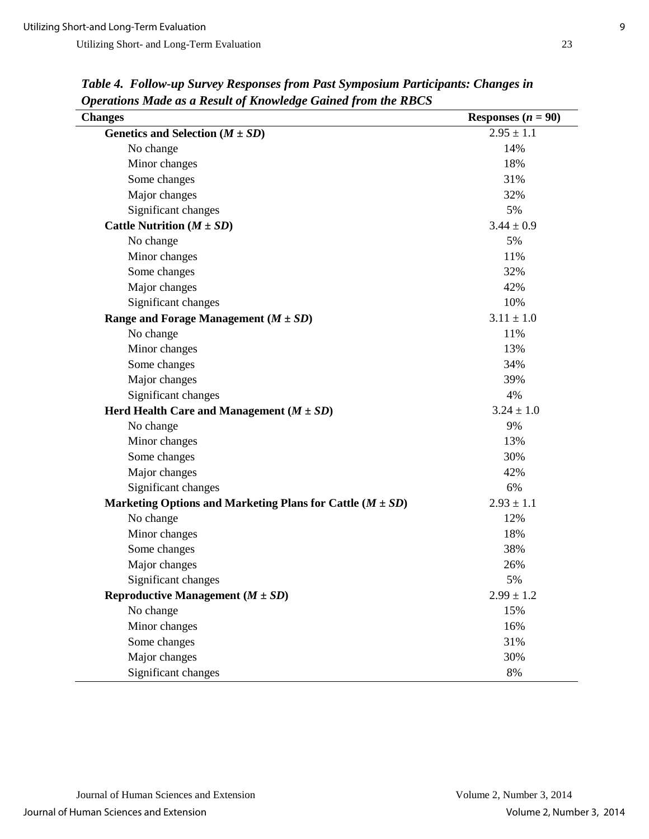Utilizing Short- and Long-Term Evaluation 23

| <b>Changes</b>                                                | Responses $(n = 90)$ |
|---------------------------------------------------------------|----------------------|
| Genetics and Selection $(M \pm SD)$                           | $2.95 \pm 1.1$       |
| No change                                                     | 14%                  |
| Minor changes                                                 | 18%                  |
| Some changes                                                  | 31%                  |
| Major changes                                                 | 32%                  |
| Significant changes                                           | 5%                   |
| Cattle Nutrition $(M \pm SD)$                                 | $3.44 \pm 0.9$       |
| No change                                                     | 5%                   |
| Minor changes                                                 | 11%                  |
| Some changes                                                  | 32%                  |
| Major changes                                                 | 42%                  |
| Significant changes                                           | 10%                  |
| Range and Forage Management $(M \pm SD)$                      | $3.11 \pm 1.0$       |
| No change                                                     | 11%                  |
| Minor changes                                                 | 13%                  |
| Some changes                                                  | 34%                  |
| Major changes                                                 | 39%                  |
| Significant changes                                           | 4%                   |
| Herd Health Care and Management $(M \pm SD)$                  | $3.24 \pm 1.0$       |
| No change                                                     | 9%                   |
| Minor changes                                                 | 13%                  |
| Some changes                                                  | 30%                  |
| Major changes                                                 | 42%                  |
| Significant changes                                           | 6%                   |
| Marketing Options and Marketing Plans for Cattle $(M \pm SD)$ | $2.93 \pm 1.1$       |
| No change                                                     | 12%                  |
| Minor changes                                                 | 18%                  |
| Some changes                                                  | 38%                  |
| Major changes                                                 | 26%                  |
| Significant changes                                           | 5%                   |
| Reproductive Management $(M \pm SD)$                          | $2.99 \pm 1.2$       |
| No change                                                     | 15%                  |
| Minor changes                                                 | 16%                  |
| Some changes                                                  | 31%                  |
| Major changes                                                 | 30%                  |
| Significant changes                                           | 8%                   |

*Table 4. Follow-up Survey Responses from Past Symposium Participants: Changes in Operations Made as a Result of Knowledge Gained from the RBCS*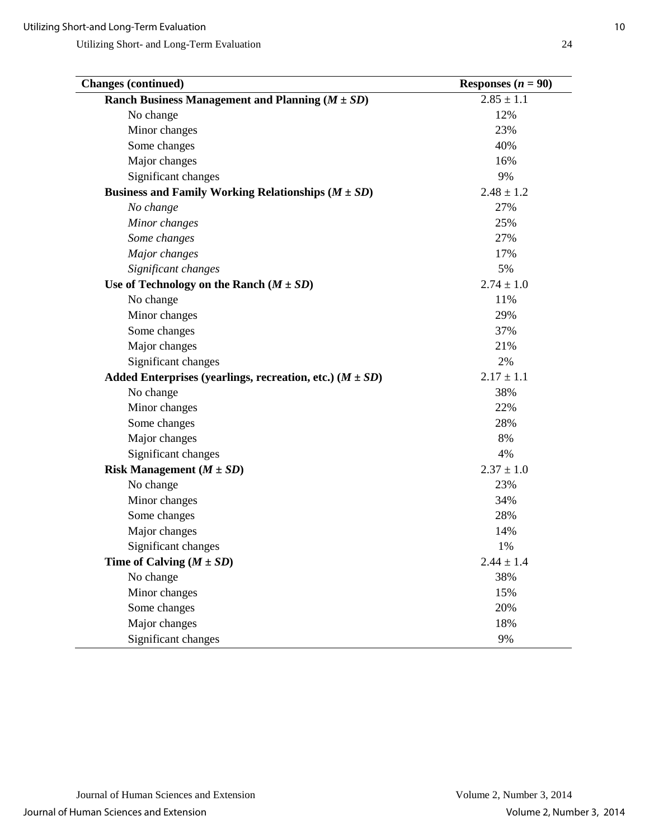| <b>Changes (continued)</b>                                   | Responses $(n = 90)$ |
|--------------------------------------------------------------|----------------------|
| Ranch Business Management and Planning $(M \pm SD)$          | $2.85 \pm 1.1$       |
| No change                                                    | 12%                  |
| Minor changes                                                | 23%                  |
| Some changes                                                 | 40%                  |
| Major changes                                                | 16%                  |
| Significant changes                                          | 9%                   |
| Business and Family Working Relationships $(M \pm SD)$       | $2.48 \pm 1.2$       |
| No change                                                    | 27%                  |
| Minor changes                                                | 25%                  |
| Some changes                                                 | 27%                  |
| Major changes                                                | 17%                  |
| Significant changes                                          | 5%                   |
| Use of Technology on the Ranch $(M \pm SD)$                  | $2.74 \pm 1.0$       |
| No change                                                    | 11%                  |
| Minor changes                                                | 29%                  |
| Some changes                                                 | 37%                  |
| Major changes                                                | 21%                  |
| Significant changes                                          | 2%                   |
| Added Enterprises (yearlings, recreation, etc.) $(M \pm SD)$ | $2.17 \pm 1.1$       |
| No change                                                    | 38%                  |
| Minor changes                                                | 22%                  |
| Some changes                                                 | 28%                  |
| Major changes                                                | 8%                   |
| Significant changes                                          | 4%                   |
| Risk Management $(M \pm SD)$                                 | $2.37 \pm 1.0$       |
| No change                                                    | 23%                  |
| Minor changes                                                | 34%                  |
| Some changes                                                 | 28%                  |
| Major changes                                                | 14%                  |
| Significant changes                                          | 1%                   |
| Time of Calving $(M \pm SD)$                                 | $2.44 \pm 1.4$       |
| No change                                                    | 38%                  |
| Minor changes                                                | 15%                  |
| Some changes                                                 | 20%                  |
| Major changes                                                | 18%                  |
| Significant changes                                          | 9%                   |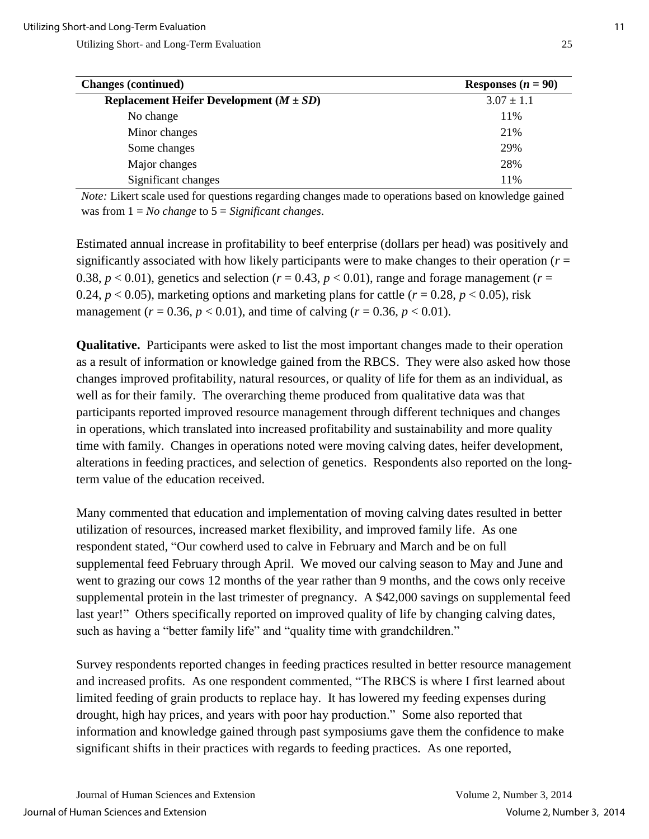| <b>Changes (continued)</b>                  | Responses $(n = 90)$ |
|---------------------------------------------|----------------------|
| Replacement Heifer Development $(M \pm SD)$ | $3.07 \pm 1.1$       |
| No change                                   | 11%                  |
| Minor changes                               | 21%                  |
| Some changes                                | 29%                  |
| Major changes                               | 28%                  |
| Significant changes                         | 11%                  |

*Note:* Likert scale used for questions regarding changes made to operations based on knowledge gained was from 1 = *No change* to 5 = *Significant changes*.

Estimated annual increase in profitability to beef enterprise (dollars per head) was positively and significantly associated with how likely participants were to make changes to their operation ( $r =$ 0.38,  $p < 0.01$ ), genetics and selection ( $r = 0.43$ ,  $p < 0.01$ ), range and forage management ( $r =$ 0.24,  $p < 0.05$ ), marketing options and marketing plans for cattle ( $r = 0.28$ ,  $p < 0.05$ ), risk management ( $r = 0.36$ ,  $p < 0.01$ ), and time of calving ( $r = 0.36$ ,  $p < 0.01$ ).

**Qualitative.** Participants were asked to list the most important changes made to their operation as a result of information or knowledge gained from the RBCS. They were also asked how those changes improved profitability, natural resources, or quality of life for them as an individual, as well as for their family. The overarching theme produced from qualitative data was that participants reported improved resource management through different techniques and changes in operations, which translated into increased profitability and sustainability and more quality time with family. Changes in operations noted were moving calving dates, heifer development, alterations in feeding practices, and selection of genetics. Respondents also reported on the longterm value of the education received.

Many commented that education and implementation of moving calving dates resulted in better utilization of resources, increased market flexibility, and improved family life. As one respondent stated, "Our cowherd used to calve in February and March and be on full supplemental feed February through April. We moved our calving season to May and June and went to grazing our cows 12 months of the year rather than 9 months, and the cows only receive supplemental protein in the last trimester of pregnancy. A \$42,000 savings on supplemental feed last year!" Others specifically reported on improved quality of life by changing calving dates, such as having a "better family life" and "quality time with grandchildren."

Survey respondents reported changes in feeding practices resulted in better resource management and increased profits. As one respondent commented, "The RBCS is where I first learned about limited feeding of grain products to replace hay. It has lowered my feeding expenses during drought, high hay prices, and years with poor hay production." Some also reported that information and knowledge gained through past symposiums gave them the confidence to make significant shifts in their practices with regards to feeding practices. As one reported,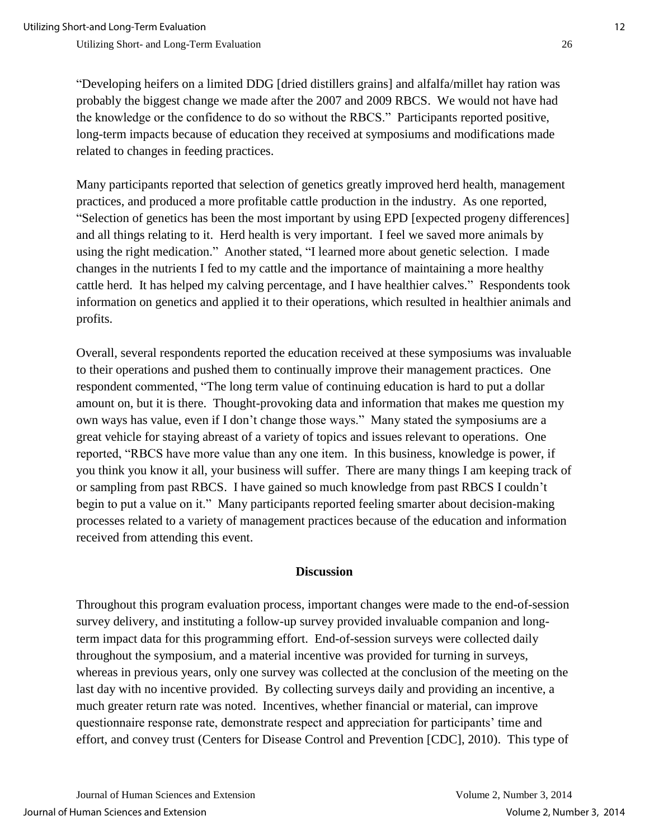"Developing heifers on a limited DDG [dried distillers grains] and alfalfa/millet hay ration was probably the biggest change we made after the 2007 and 2009 RBCS. We would not have had the knowledge or the confidence to do so without the RBCS." Participants reported positive, long-term impacts because of education they received at symposiums and modifications made related to changes in feeding practices.

Many participants reported that selection of genetics greatly improved herd health, management practices, and produced a more profitable cattle production in the industry. As one reported, "Selection of genetics has been the most important by using EPD [expected progeny differences] and all things relating to it. Herd health is very important. I feel we saved more animals by using the right medication." Another stated, "I learned more about genetic selection. I made changes in the nutrients I fed to my cattle and the importance of maintaining a more healthy cattle herd. It has helped my calving percentage, and I have healthier calves." Respondents took information on genetics and applied it to their operations, which resulted in healthier animals and profits.

Overall, several respondents reported the education received at these symposiums was invaluable to their operations and pushed them to continually improve their management practices. One respondent commented, "The long term value of continuing education is hard to put a dollar amount on, but it is there. Thought-provoking data and information that makes me question my own ways has value, even if I don't change those ways." Many stated the symposiums are a great vehicle for staying abreast of a variety of topics and issues relevant to operations. One reported, "RBCS have more value than any one item. In this business, knowledge is power, if you think you know it all, your business will suffer. There are many things I am keeping track of or sampling from past RBCS. I have gained so much knowledge from past RBCS I couldn't begin to put a value on it." Many participants reported feeling smarter about decision-making processes related to a variety of management practices because of the education and information received from attending this event.

#### **Discussion**

Throughout this program evaluation process, important changes were made to the end-of-session survey delivery, and instituting a follow-up survey provided invaluable companion and longterm impact data for this programming effort. End-of-session surveys were collected daily throughout the symposium, and a material incentive was provided for turning in surveys, whereas in previous years, only one survey was collected at the conclusion of the meeting on the last day with no incentive provided. By collecting surveys daily and providing an incentive, a much greater return rate was noted. Incentives, whether financial or material, can improve questionnaire response rate, demonstrate respect and appreciation for participants' time and effort, and convey trust (Centers for Disease Control and Prevention [CDC], 2010). This type of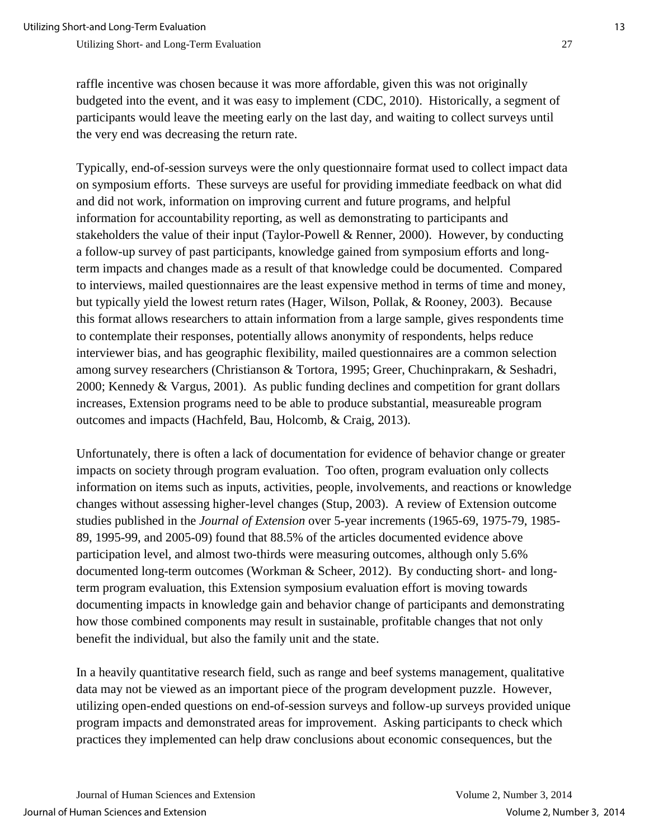raffle incentive was chosen because it was more affordable, given this was not originally budgeted into the event, and it was easy to implement (CDC, 2010). Historically, a segment of participants would leave the meeting early on the last day, and waiting to collect surveys until the very end was decreasing the return rate.

Typically, end-of-session surveys were the only questionnaire format used to collect impact data on symposium efforts. These surveys are useful for providing immediate feedback on what did and did not work, information on improving current and future programs, and helpful information for accountability reporting, as well as demonstrating to participants and stakeholders the value of their input (Taylor-Powell & Renner, 2000). However, by conducting a follow-up survey of past participants, knowledge gained from symposium efforts and longterm impacts and changes made as a result of that knowledge could be documented. Compared to interviews, mailed questionnaires are the least expensive method in terms of time and money, but typically yield the lowest return rates (Hager, Wilson, Pollak, & Rooney, 2003). Because this format allows researchers to attain information from a large sample, gives respondents time to contemplate their responses, potentially allows anonymity of respondents, helps reduce interviewer bias, and has geographic flexibility, mailed questionnaires are a common selection among survey researchers (Christianson & Tortora, 1995; Greer, Chuchinprakarn, & Seshadri, 2000; Kennedy & Vargus, 2001). As public funding declines and competition for grant dollars increases, Extension programs need to be able to produce substantial, measureable program outcomes and impacts (Hachfeld, Bau, Holcomb, & Craig, 2013).

Unfortunately, there is often a lack of documentation for evidence of behavior change or greater impacts on society through program evaluation. Too often, program evaluation only collects information on items such as inputs, activities, people, involvements, and reactions or knowledge changes without assessing higher-level changes (Stup, 2003). A review of Extension outcome studies published in the *Journal of Extension* over 5-year increments (1965-69, 1975-79, 1985- 89, 1995-99, and 2005-09) found that 88.5% of the articles documented evidence above participation level, and almost two-thirds were measuring outcomes, although only 5.6% documented long-term outcomes (Workman & Scheer, 2012).By conducting short- and longterm program evaluation, this Extension symposium evaluation effort is moving towards documenting impacts in knowledge gain and behavior change of participants and demonstrating how those combined components may result in sustainable, profitable changes that not only benefit the individual, but also the family unit and the state.

In a heavily quantitative research field, such as range and beef systems management, qualitative data may not be viewed as an important piece of the program development puzzle. However, utilizing open-ended questions on end-of-session surveys and follow-up surveys provided unique program impacts and demonstrated areas for improvement. Asking participants to check which practices they implemented can help draw conclusions about economic consequences, but the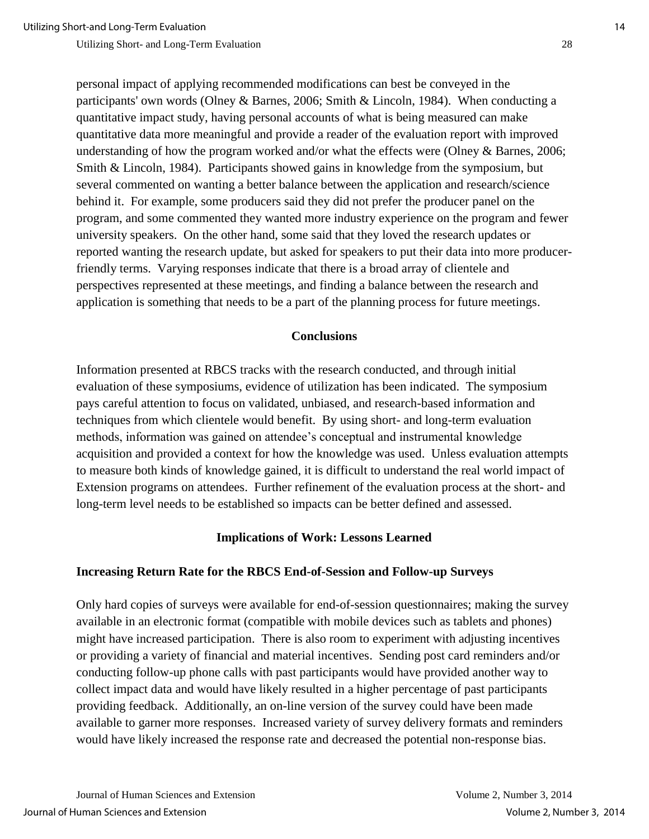personal impact of applying recommended modifications can best be conveyed in the participants' own words (Olney & Barnes, 2006; Smith & Lincoln, 1984). When conducting a quantitative impact study, having personal accounts of what is being measured can make quantitative data more meaningful and provide a reader of the evaluation report with improved understanding of how the program worked and/or what the effects were (Olney & Barnes, 2006; Smith & Lincoln, 1984). Participants showed gains in knowledge from the symposium, but several commented on wanting a better balance between the application and research/science behind it. For example, some producers said they did not prefer the producer panel on the program, and some commented they wanted more industry experience on the program and fewer university speakers. On the other hand, some said that they loved the research updates or reported wanting the research update, but asked for speakers to put their data into more producerfriendly terms. Varying responses indicate that there is a broad array of clientele and perspectives represented at these meetings, and finding a balance between the research and application is something that needs to be a part of the planning process for future meetings.

#### **Conclusions**

Information presented at RBCS tracks with the research conducted, and through initial evaluation of these symposiums, evidence of utilization has been indicated. The symposium pays careful attention to focus on validated, unbiased, and research-based information and techniques from which clientele would benefit. By using short- and long-term evaluation methods, information was gained on attendee's conceptual and instrumental knowledge acquisition and provided a context for how the knowledge was used. Unless evaluation attempts to measure both kinds of knowledge gained, it is difficult to understand the real world impact of Extension programs on attendees. Further refinement of the evaluation process at the short- and long-term level needs to be established so impacts can be better defined and assessed.

#### **Implications of Work: Lessons Learned**

#### **Increasing Return Rate for the RBCS End-of-Session and Follow-up Surveys**

Only hard copies of surveys were available for end-of-session questionnaires; making the survey available in an electronic format (compatible with mobile devices such as tablets and phones) might have increased participation. There is also room to experiment with adjusting incentives or providing a variety of financial and material incentives. Sending post card reminders and/or conducting follow-up phone calls with past participants would have provided another way to collect impact data and would have likely resulted in a higher percentage of past participants providing feedback. Additionally, an on-line version of the survey could have been made available to garner more responses. Increased variety of survey delivery formats and reminders would have likely increased the response rate and decreased the potential non-response bias.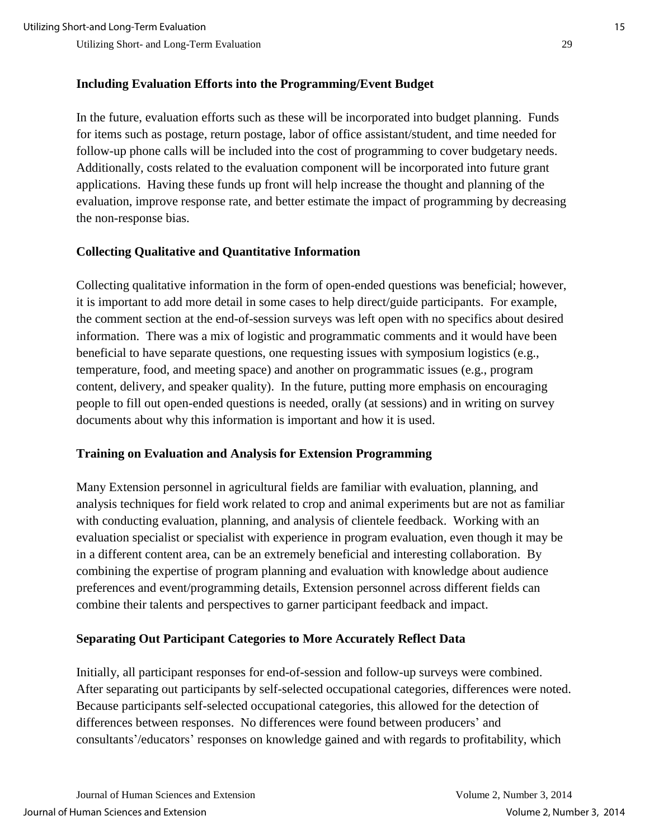#### **Including Evaluation Efforts into the Programming/Event Budget**

In the future, evaluation efforts such as these will be incorporated into budget planning. Funds for items such as postage, return postage, labor of office assistant/student, and time needed for follow-up phone calls will be included into the cost of programming to cover budgetary needs. Additionally, costs related to the evaluation component will be incorporated into future grant applications. Having these funds up front will help increase the thought and planning of the evaluation, improve response rate, and better estimate the impact of programming by decreasing the non-response bias.

### **Collecting Qualitative and Quantitative Information**

Collecting qualitative information in the form of open-ended questions was beneficial; however, it is important to add more detail in some cases to help direct/guide participants. For example, the comment section at the end-of-session surveys was left open with no specifics about desired information. There was a mix of logistic and programmatic comments and it would have been beneficial to have separate questions, one requesting issues with symposium logistics (e.g., temperature, food, and meeting space) and another on programmatic issues (e.g., program content, delivery, and speaker quality). In the future, putting more emphasis on encouraging people to fill out open-ended questions is needed, orally (at sessions) and in writing on survey documents about why this information is important and how it is used.

#### **Training on Evaluation and Analysis for Extension Programming**

Many Extension personnel in agricultural fields are familiar with evaluation, planning, and analysis techniques for field work related to crop and animal experiments but are not as familiar with conducting evaluation, planning, and analysis of clientele feedback. Working with an evaluation specialist or specialist with experience in program evaluation, even though it may be in a different content area, can be an extremely beneficial and interesting collaboration. By combining the expertise of program planning and evaluation with knowledge about audience preferences and event/programming details, Extension personnel across different fields can combine their talents and perspectives to garner participant feedback and impact.

## **Separating Out Participant Categories to More Accurately Reflect Data**

Initially, all participant responses for end-of-session and follow-up surveys were combined. After separating out participants by self-selected occupational categories, differences were noted. Because participants self-selected occupational categories, this allowed for the detection of differences between responses. No differences were found between producers' and consultants'/educators' responses on knowledge gained and with regards to profitability, which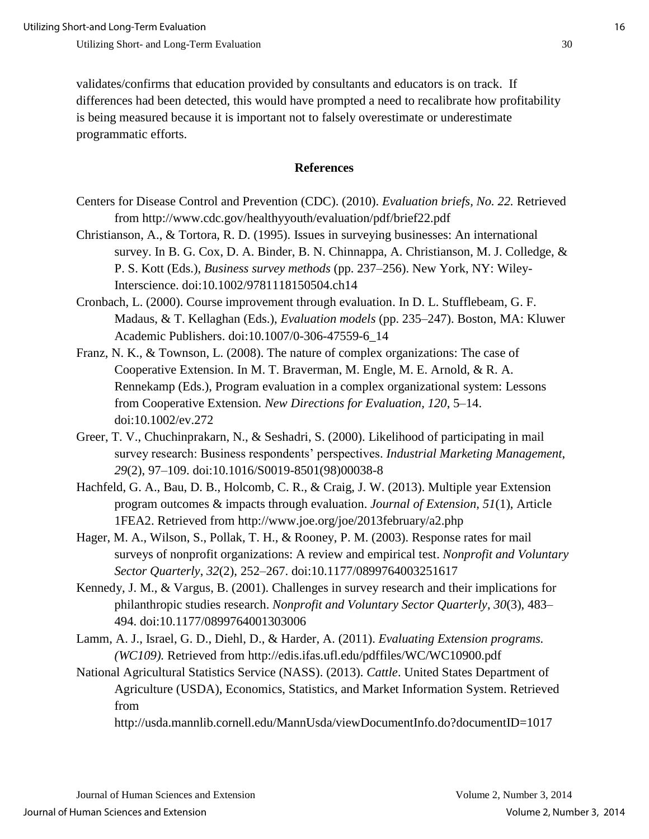validates/confirms that education provided by consultants and educators is on track. If differences had been detected, this would have prompted a need to recalibrate how profitability is being measured because it is important not to falsely overestimate or underestimate programmatic efforts.

#### **References**

- Centers for Disease Control and Prevention (CDC). (2010). *Evaluation briefs, No. 22.* Retrieved from http://www.cdc.gov/healthyyouth/evaluation/pdf/brief22.pdf
- Christianson, A., & Tortora, R. D. (1995). Issues in surveying businesses: An international survey. In B. G. Cox, D. A. Binder, B. N. Chinnappa, A. Christianson, M. J. Colledge, & P. S. Kott (Eds.), *Business survey methods* (pp. 237–256). New York, NY: Wiley-Interscience. doi:10.1002/9781118150504.ch14
- Cronbach, L. (2000). Course improvement through evaluation. In D. L. Stufflebeam, G. F. Madaus, & T. Kellaghan (Eds.), *Evaluation models* (pp. 235–247). Boston, MA: Kluwer Academic Publishers. doi:10.1007/0-306-47559-6\_14
- Franz, N. K., & Townson, L. (2008). The nature of complex organizations: The case of Cooperative Extension. In M. T. Braverman, M. Engle, M. E. Arnold, & R. A. Rennekamp (Eds.), Program evaluation in a complex organizational system: Lessons from Cooperative Extension*. New Directions for Evaluation, 120*, 5–14. doi:10.1002/ev.272
- Greer, T. V., Chuchinprakarn, N., & Seshadri, S. (2000). Likelihood of participating in mail survey research: Business respondents' perspectives. *Industrial Marketing Management*, *29*(2), 97–109. doi:10.1016/S0019-8501(98)00038-8
- Hachfeld, G. A., Bau, D. B., Holcomb, C. R., & Craig, J. W. (2013). Multiple year Extension program outcomes & impacts through evaluation. *Journal of Extension, 51*(1), Article 1FEA2. Retrieved from http://www.joe.org/joe/2013february/a2.php
- Hager, M. A., Wilson, S., Pollak, T. H., & Rooney, P. M. (2003). Response rates for mail surveys of nonprofit organizations: A review and empirical test. *Nonprofit and Voluntary Sector Quarterly*, *32*(2), 252–267. doi:10.1177/0899764003251617
- Kennedy, J. M., & Vargus, B. (2001). Challenges in survey research and their implications for philanthropic studies research. *Nonprofit and Voluntary Sector Quarterly*, *30*(3), 483– 494. doi:10.1177/0899764001303006
- Lamm, A. J., Israel, G. D., Diehl, D., & Harder, A. (2011). *Evaluating Extension programs. (WC109).* Retrieved from http://edis.ifas.ufl.edu/pdffiles/WC/WC10900.pdf
- National Agricultural Statistics Service (NASS). (2013). *Cattle*. United States Department of Agriculture (USDA), Economics, Statistics, and Market Information System. Retrieved from

http://usda.mannlib.cornell.edu/MannUsda/viewDocumentInfo.do?documentID=1017